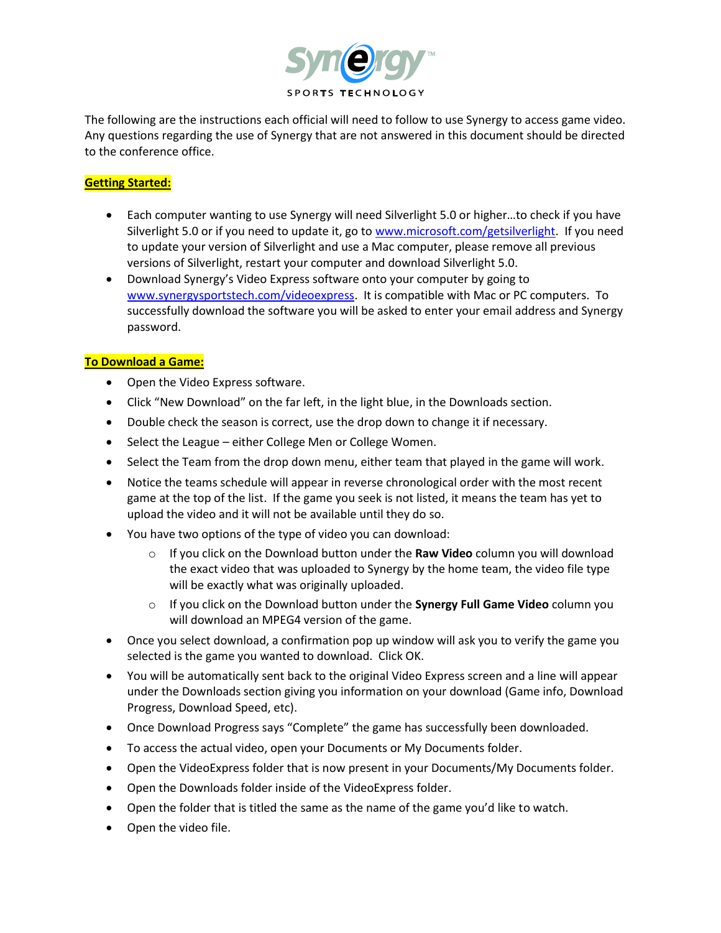

The following are the instructions each official will need to follow to use Synergy to access game video. Any questions regarding the use of Synergy that are not answered in this document should be directed to the conference office.

# **Getting Started:**

- Each computer wanting to use Synergy will need Silverlight 5.0 or higher…to check if you have Silverlight 5.0 or if you need to update it, go t[o www.microsoft.com/getsilverlight.](http://www.microsoft.com/getsilverlight) If you need to update your version of Silverlight and use a Mac computer, please remove all previous versions of Silverlight, restart your computer and download Silverlight 5.0.
- Download Synergy's Video Express software onto your computer by going to [www.synergysportstech.com/videoexpress.](http://www.synergysportstech.com/videoexpress) It is compatible with Mac or PC computers. To successfully download the software you will be asked to enter your email address and Synergy password.

## **To Download a Game:**

- Open the Video Express software.
- Click "New Download" on the far left, in the light blue, in the Downloads section.
- Double check the season is correct, use the drop down to change it if necessary.
- Select the League either College Men or College Women.
- Select the Team from the drop down menu, either team that played in the game will work.
- Notice the teams schedule will appear in reverse chronological order with the most recent game at the top of the list. If the game you seek is not listed, it means the team has yet to upload the video and it will not be available until they do so.
- You have two options of the type of video you can download:
	- o If you click on the Download button under the **Raw Video** column you will download the exact video that was uploaded to Synergy by the home team, the video file type will be exactly what was originally uploaded.
	- o If you click on the Download button under the **Synergy Full Game Video** column you will download an MPEG4 version of the game.
- Once you select download, a confirmation pop up window will ask you to verify the game you selected is the game you wanted to download. Click OK.
- You will be automatically sent back to the original Video Express screen and a line will appear under the Downloads section giving you information on your download (Game info, Download Progress, Download Speed, etc).
- Once Download Progress says "Complete" the game has successfully been downloaded.
- To access the actual video, open your Documents or My Documents folder.
- Open the VideoExpress folder that is now present in your Documents/My Documents folder.
- Open the Downloads folder inside of the VideoExpress folder.
- Open the folder that is titled the same as the name of the game you'd like to watch.
- Open the video file.